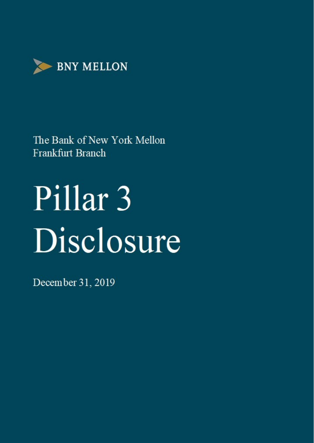

# Pillar<sub>3</sub> Disclosure

December 31, 2019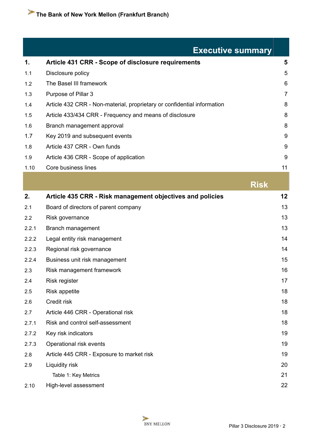|       | <b>Executive summary</b>                                                |                |
|-------|-------------------------------------------------------------------------|----------------|
| 1.    | <b>Article 431 CRR - Scope of disclosure requirements</b>               | 5              |
| 1.1   | Disclosure policy                                                       | 5              |
| 1.2   | The Basel III framework                                                 | 6              |
| 1.3   | Purpose of Pillar 3                                                     | $\overline{7}$ |
| 1.4   | Article 432 CRR - Non-material, proprietary or confidential information | 8              |
| 1.5   | Article 433/434 CRR - Frequency and means of disclosure                 | 8              |
| 1.6   | Branch management approval                                              | 8              |
| 1.7   | Key 2019 and subsequent events                                          | 9              |
| 1.8   | Article 437 CRR - Own funds                                             | 9              |
| 1.9   | Article 436 CRR - Scope of application                                  | $9\,$          |
| 1.10  | Core business lines                                                     | 11             |
|       | <b>Risk</b>                                                             |                |
| 2.    | Article 435 CRR - Risk management objectives and policies               | 12             |
| 2.1   | Board of directors of parent company                                    | 13             |
| 2.2   | Risk governance                                                         | 13             |
| 2.2.1 | Branch management                                                       | 13             |
| 2.2.2 | Legal entity risk management                                            | 14             |
| 2.2.3 | Regional risk governance                                                | 14             |
| 2.2.4 | Business unit risk management                                           | 15             |
| 2.3   | Risk management framework                                               | 16             |
| 2.4   | Risk register                                                           | 17             |
| 2.5   | <b>Risk appetite</b>                                                    | 18             |
| 2.6   | Credit risk                                                             | 18             |
|       |                                                                         |                |

2.7.1 Risk and control self-assessment [18](#page-17-0) 2.7.2 Key risk indicators [19](#page-18-0) 2.7.3 Operational risk events [19](#page-18-0) 2.8 Article 445 CRR - Exposure to market risk [19](#page-18-0) 2.9 Liquidity risk [20](#page-19-0) Table 1: Key Metrics [21](#page-20-0) 2.10 High-level assessment [22](#page-21-0)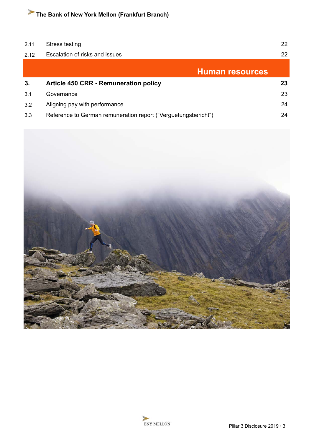| 2.11 | Stress testing                                                 | 22 |
|------|----------------------------------------------------------------|----|
| 2.12 | Escalation of risks and issues                                 | 22 |
|      | <b>Human resources</b>                                         |    |
| 3.   | <b>Article 450 CRR - Remuneration policy</b>                   | 23 |
| 3.1  | Governance                                                     | 23 |
| 3.2  | Aligning pay with performance                                  | 24 |
| 3.3  | Reference to German remuneration report ("Verguetungsbericht") | 24 |

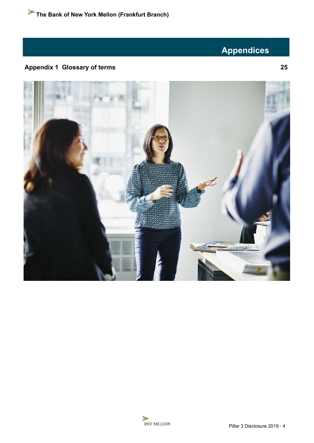## **Appendices**

## **Appendix 1 Glossary of terms [25](#page-24-0)**



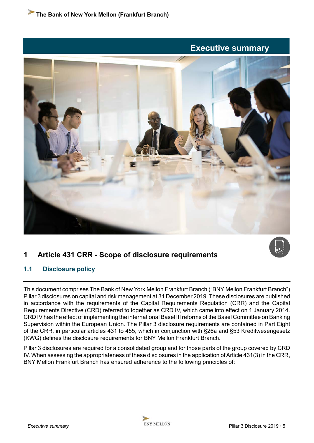## **Executive summary**

<span id="page-4-0"></span>



### **1 Article 431 CRR - Scope of disclosure requirements**

#### **1.1 Disclosure policy**

This document comprises The Bank of New York Mellon Frankfurt Branch ("BNY Mellon Frankfurt Branch") Pillar 3 disclosures on capital and risk management at 31 December 2019. These disclosures are published in accordance with the requirements of the Capital Requirements Regulation (CRR) and the Capital Requirements Directive (CRD) referred to together as CRD IV, which came into effect on 1 January 2014. CRD IV has the effect of implementing the international Basel III reforms of the Basel Committee on Banking Supervision within the European Union. The Pillar 3 disclosure requirements are contained in Part Eight of the CRR, in particular articles 431 to 455, which in conjunction with §26a and §53 Kreditwesengesetz (KWG) defines the disclosure requirements for BNY Mellon Frankfurt Branch.

Pillar 3 disclosures are required for a consolidated group and for those parts of the group covered by CRD IV. When assessing the appropriateness of these disclosures in the application of Article 431(3) in the CRR, BNY Mellon Frankfurt Branch has ensured adherence to the following principles of: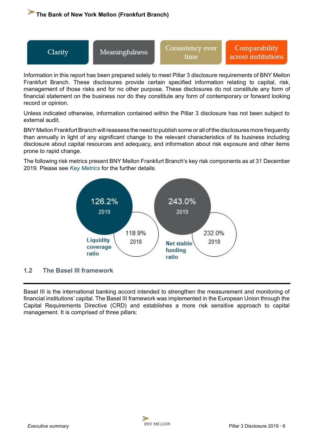<span id="page-5-0"></span>



Information in this report has been prepared solely to meet Pillar 3 disclosure requirements of BNY Mellon Frankfurt Branch. These disclosures provide certain specified information relating to capital, risk, management of those risks and for no other purpose. These disclosures do not constitute any form of financial statement on the business nor do they constitute any form of contemporary or forward looking record or opinion.

Unless indicated otherwise, information contained within the Pillar 3 disclosure has not been subject to external audit.

BNY Mellon Frankfurt Branch will reassess the need to publish some or all of the disclosures more frequently than annually in light of any significant change to the relevant characteristics of its business including disclosure about capital resources and adequacy, and information about risk exposure and other items prone to rapid change.

The following risk metrics present BNY Mellon Frankfurt Branch's key risk components as at 31 December 2019. Please see *[Key Metrics](#page-20-0)* for the further details.



#### **1.2 The Basel III framework**

Basel III is the international banking accord intended to strengthen the measurement and monitoring of financial institutions' capital. The Basel III framework was implemented in the European Union through the Capital Requirements Directive (CRD) and establishes a more risk sensitive approach to capital management. It is comprised of three pillars: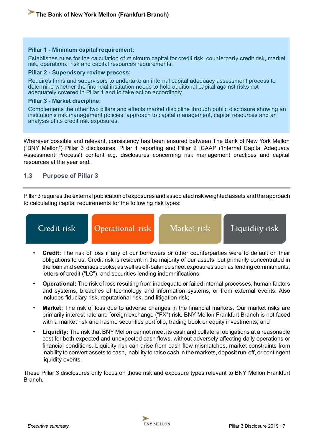#### <span id="page-6-0"></span>**Pillar 1 - Minimum capital requirement:**

Establishes rules for the calculation of minimum capital for credit risk, counterparty credit risk, market risk, operational risk and capital resources requirements.

#### **Pillar 2 - Supervisory review process:**

Requires firms and supervisors to undertake an internal capital adequacy assessment process to determine whether the financial institution needs to hold additional capital against risks not adequately covered in Pillar 1 and to take action accordingly.

#### **Pillar 3 - Market discipline:**

Complements the other two pillars and effects market discipline through public disclosure showing an institution's risk management policies, approach to capital management, capital resources and an analysis of its credit risk exposures.

Wherever possible and relevant, consistency has been ensured between The Bank of New York Mellon ("BNY Mellon") Pillar 3 disclosures, Pillar 1 reporting and Pillar 2 ICAAP ('Internal Capital Adequacy Assessment Process') content e.g. disclosures concerning risk management practices and capital resources at the year end.

#### **1.3 Purpose of Pillar 3**

Pillar 3 requires the external publication of exposures and associated risk weighted assets and the approach to calculating capital requirements for the following risk types:



- **Credit:** The risk of loss if any of our borrowers or other counterparties were to default on their obligations to us. Credit risk is resident in the majority of our assets, but primarily concentrated in the loan and securities books, as well as off-balance sheet exposures such as lending commitments, letters of credit ("LC"), and securities lending indemnifications;
- **Operational:** The risk of loss resulting from inadequate or failed internal processes, human factors and systems, breaches of technology and information systems, or from external events. Also includes fiduciary risk, reputational risk, and litigation risk;
- Market: The risk of loss due to adverse changes in the financial markets. Our market risks are primarily interest rate and foreign exchange ("FX") risk. BNY Mellon Frankfurt Branch is not faced with a market risk and has no securities portfolio, trading book or equity investments; and
- **Liquidity:** The risk that BNY Mellon cannot meet its cash and collateral obligations at a reasonable cost for both expected and unexpected cash flows, without adversely affecting daily operations or financial conditions. Liquidity risk can arise from cash flow mismatches, market constraints from inability to convert assets to cash, inability to raise cash in the markets, deposit run-off, or contingent liquidity events.

These Pillar 3 disclosures only focus on those risk and exposure types relevant to BNY Mellon Frankfurt Branch.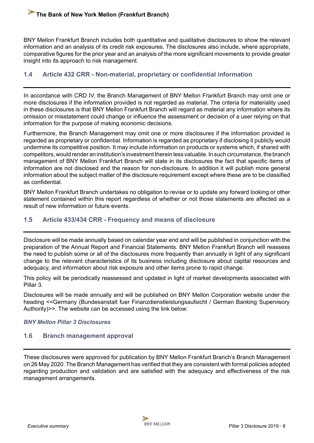<span id="page-7-0"></span>BNY Mellon Frankfurt Branch includes both quantitative and qualitative disclosures to show the relevant information and an analysis of its credit risk exposures. The disclosures also include, where appropriate, comparative figures for the prior year and an analysis of the more significant movements to provide greater insight into its approach to risk management.

#### **1.4 Article 432 CRR - Non-material, proprietary or confidential information**

In accordance with CRD IV, the Branch Management of BNY Mellon Frankfurt Branch may omit one or more disclosures if the information provided is not regarded as material. The criteria for materiality used in these disclosures is that BNY Mellon Frankfurt Branch will regard as material any information where its omission or misstatement could change or influence the assessment or decision of a user relying on that information for the purpose of making economic decisions.

Furthermore, the Branch Management may omit one or more disclosures if the information provided is regarded as proprietary or confidential. Information is regarded as proprietary if disclosing it publicly would undermine its competitive position. It may include information on products or systems which, if shared with competitors, would render an institution's investment therein less valuable. In such circumstance, the branch management of BNY Mellon Frankfurt Branch will state in its disclosures the fact that specific items of information are not disclosed and the reason for non-disclosure. In addition it will publish more general information about the subject matter of the disclosure requirement except where these are to be classified as confidential.

BNY Mellon Frankfurt Branch undertakes no obligation to revise or to update any forward looking or other statement contained within this report regardless of whether or not those statements are affected as a result of new information or future events.

#### **1.5 Article 433/434 CRR - Frequency and means of disclosure**

Disclosure will be made annually based on calendar year end and will be published in conjunction with the preparation of the Annual Report and Financial Statements. BNY Mellon Frankfurt Branch will reassess the need to publish some or all of the disclosures more frequently than annually in light of any significant change to the relevant characteristics of its business including disclosure about capital resources and adequacy, and information about risk exposure and other items prone to rapid change.

This policy will be periodically reassessed and updated in light of market developments associated with Pillar 3.

Disclosures will be made annually and will be published on BNY Mellon Corporation website under the heading <<Germany (Bundesanstalt fuer Finanzdienstleistungsaufsicht / German Banking Supervisory Authority)>>. The website can be accessed using the link below:

*[BNY Mellon Pillar 3 Disclosures](https://www.bnymellon.com/us/en/investor-relations/other-regulatory.jsp#pillar3)*

#### **1.6 Branch management approval**

These disclosures were approved for publication by BNY Mellon Frankfurt Branch's Branch Management on 26 May 2020. The Branch Management has verified that they are consistent with formal policies adopted regarding production and validation and are satisfied with the adequacy and effectiveness of the risk management arrangements.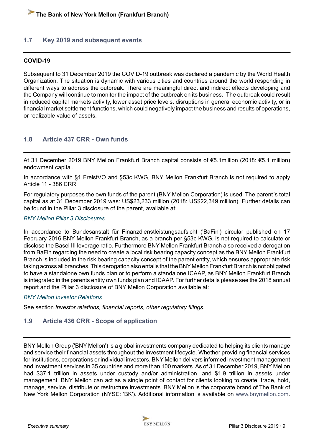#### <span id="page-8-0"></span>**1.7 Key 2019 and subsequent events**

#### **COVID-19**

Subsequent to 31 December 2019 the COVID-19 outbreak was declared a pandemic by the World Health Organization. The situation is dynamic with various cities and countries around the world responding in different ways to address the outbreak. There are meaningful direct and indirect effects developing and the Company will continue to monitor the impact of the outbreak on its business. The outbreak could result in reduced capital markets activity, lower asset price levels, disruptions in general economic activity, or in financial market settlement functions, which could negatively impact the business and results of operations, or realizable value of assets.

#### **1.8 Article 437 CRR - Own funds**

At 31 December 2019 BNY Mellon Frankfurt Branch capital consists of €5.1million (2018: €5.1 million) endowment capital.

In accordance with §1 FreistVO and §53c KWG, BNY Mellon Frankfurt Branch is not required to apply Article 11 - 386 CRR.

For regulatory purposes the own funds of the parent (BNY Mellon Corporation) is used. The parent´s total capital as at 31 December 2019 was: US\$23,233 million (2018: US\$22,349 million). Further details can be found in the Pillar 3 disclosure of the parent, available at:

#### *[BNY Mellon Pillar 3 Disclosures](https://www.bnymellon.com/us/en/investor-relations/other-regulatory.jsp#pillar3%20)*

In accordance to Bundesanstalt für Finanzdienstleistungsaufsicht ('BaFin') circular published on 17 February 2016 BNY Mellon Frankfurt Branch, as a branch per §53c KWG, is not required to calculate or disclose the Basel III leverage ratio. Furthermore BNY Mellon Frankfurt Branch also received a derogation from BaFin regarding the need to create a local risk bearing capacity concept as the BNY Mellon Frankfurt Branch is included in the risk bearing capacity concept of the parent entity, which ensures appropriate risk taking across all branches. This derogation also entails that the BNY Mellon Frankfurt Branch is not obligated to have a standalone own funds plan or to perform a standalone ICAAP, as BNY Mellon Frankfurt Branch is integrated in the parents entity own funds plan and ICAAP. For further details please see the 2018 annual report and the Pillar 3 disclosure of BNY Mellon Corporation available at:

#### *[BNY Mellon Investor Relations](https://www.bnymellon.com/us/en/investor-relations/other-regulatory.jsp)*

See section *investor relations, financial reports, other regulatory filings.* 

#### **1.9 Article 436 CRR - Scope of application**

BNY Mellon Group ('BNY Mellon') is a global investments company dedicated to helping its clients manage and service their financial assets throughout the investment lifecycle. Whether providing financial services for institutions, corporations or individual investors, BNY Mellon delivers informed investment management and investment services in 35 countries and more than 100 markets. As of 31 December 2019, BNY Mellon had \$37.1 trillion in assets under custody and/or administration, and \$1.9 trillion in assets under management. BNY Mellon can act as a single point of contact for clients looking to create, trade, hold, manage, service, distribute or restructure investments. BNY Mellon is the corporate brand of The Bank of New York Mellon Corporation (NYSE: 'BK'). Additional information is available on www.bnymellon.com.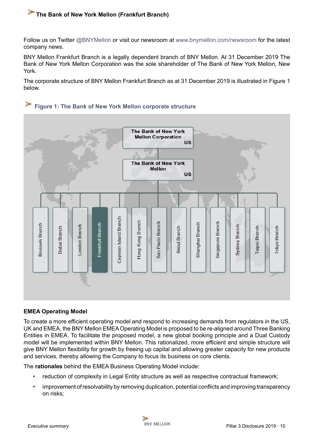Follow us on Twitter @BNYMellon or visit our newsroom at www.bnymellon.com/newsroom for the latest company news.

BNY Mellon Frankfurt Branch is a legally dependent branch of BNY Mellon. At 31 December 2019 The Bank of New York Mellon Corporation was the sole shareholder of The Bank of New York Mellon, New York.

The corporate structure of BNY Mellon Frankfurt Branch as at 31 December 2019 is illustrated in Figure 1 below.



#### **EMEA Operating Model**

To create a more efficient operating model and respond to increasing demands from regulators in the US, UK and EMEA, the BNY Mellon EMEA Operating Model is proposed to be re-aligned around Three Banking Entities in EMEA. To facilitate the proposed model, a new global booking principle and a Dual Custody model will be implemented within BNY Mellon. This rationalized, more efficient and simple structure will give BNY Mellon flexibility for growth by freeing up capital and allowing greater capacity for new products and services, thereby allowing the Company to focus its business on core clients.

The **rationales** behind the EMEA Business Operating Model include:

- reduction of complexity in Legal Entity structure as well as respective contractual framework;
- improvement of resolvability by removing duplication, potential conflicts and improving transparency on risks;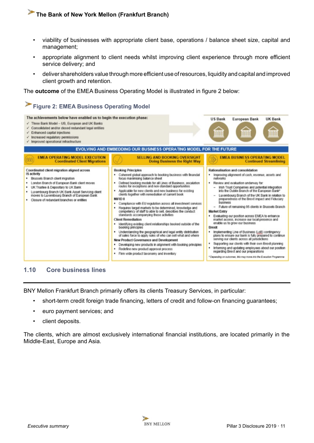- <span id="page-10-0"></span>• viability of businesses with appropriate client base, operations / balance sheet size, capital and management;
- appropriate alignment to client needs whilst improving client experience through more efficient service delivery; and
- deliver shareholders value through more efficient use of resources, liquidity and capital and improved client growth and retention.

The **outcome** of the EMEA Business Operating Model is illustrated in figure 2 below:



#### **1.10 Core business lines**

BNY Mellon Frankfurt Branch primarily offers its clients Treasury Services, in particular:

- short-term credit foreign trade financing, letters of credit and follow-on financing guarantees;
- euro payment services; and
- client deposits.

The clients, which are almost exclusively international financial institutions, are located primarily in the Middle-East, Europe and Asia.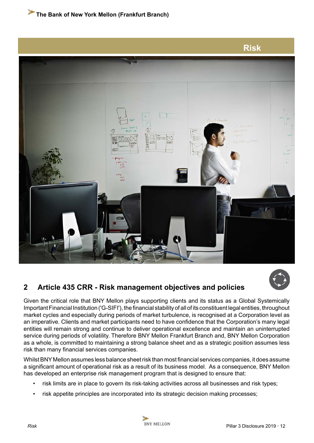<span id="page-11-0"></span>

## **2 Article 435 CRR - Risk management objectives and policies**

Given the critical role that BNY Mellon plays supporting clients and its status as a Global Systemically Important Financial Institution ('G-SIFI'), the financial stability of all of its constituent legal entities, throughout market cycles and especially during periods of market turbulence, is recognised at a Corporation level as an imperative. Clients and market participants need to have confidence that the Corporation's many legal entities will remain strong and continue to deliver operational excellence and maintain an uninterrupted service during periods of volatility. Therefore BNY Mellon Frankfurt Branch and, BNY Mellon Corporation as a whole, is committed to maintaining a strong balance sheet and as a strategic position assumes less risk than many financial services companies.

Whilst BNY Mellon assumes less balance sheet risk than most financial services companies, it does assume a significant amount of operational risk as a result of its business model. As a consequence, BNY Mellon has developed an enterprise risk management program that is designed to ensure that:

- risk limits are in place to govern its risk-taking activities across all businesses and risk types;
- risk appetite principles are incorporated into its strategic decision making processes;

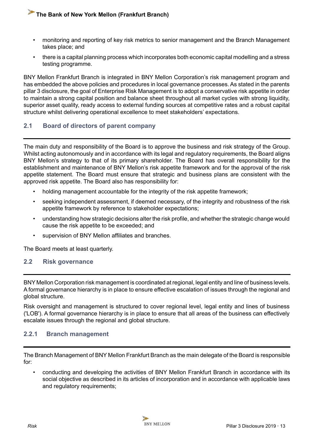- <span id="page-12-0"></span>• monitoring and reporting of key risk metrics to senior management and the Branch Management takes place; and
- there is a capital planning process which incorporates both economic capital modelling and a stress testing programme.

BNY Mellon Frankfurt Branch is integrated in BNY Mellon Corporation's risk management program and has embedded the above policies and procedures in local governance processes. As stated in the parents pillar 3 disclosure, the goal of Enterprise Risk Management is to adopt a conservative risk appetite in order to maintain a strong capital position and balance sheet throughout all market cycles with strong liquidity, superior asset quality, ready access to external funding sources at competitive rates and a robust capital structure whilst delivering operational excellence to meet stakeholders' expectations.

#### **2.1 Board of directors of parent company**

The main duty and responsibility of the Board is to approve the business and risk strategy of the Group. Whilst acting autonomously and in accordance with its legal and regulatory requirements, the Board aligns BNY Mellon's strategy to that of its primary shareholder. The Board has overall responsibility for the establishment and maintenance of BNY Mellon's risk appetite framework and for the approval of the risk appetite statement. The Board must ensure that strategic and business plans are consistent with the approved risk appetite. The Board also has responsibility for:

- holding management accountable for the integrity of the risk appetite framework;
- seeking independent assessment, if deemed necessary, of the integrity and robustness of the risk appetite framework by reference to stakeholder expectations;
- understanding how strategic decisions alter the risk profile, and whether the strategic change would cause the risk appetite to be exceeded; and
- supervision of BNY Mellon affiliates and branches.

The Board meets at least quarterly.

#### **2.2 Risk governance**

BNY Mellon Corporation risk management is coordinated at regional, legal entity and line of business levels. A formal governance hierarchy is in place to ensure effective escalation of issues through the regional and global structure.

Risk oversight and management is structured to cover regional level, legal entity and lines of business ('LOB'). A formal governance hierarchy is in place to ensure that all areas of the business can effectively escalate issues through the regional and global structure.

#### **2.2.1 Branch management**

The Branch Management of BNY Mellon Frankfurt Branch as the main delegate of the Board is responsible for:

• conducting and developing the activities of BNY Mellon Frankfurt Branch in accordance with its social objective as described in its articles of incorporation and in accordance with applicable laws and regulatory requirements;

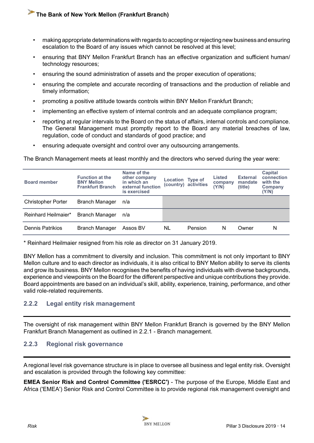- <span id="page-13-0"></span>• making appropriate determinations with regards to accepting or rejecting new business and ensuring escalation to the Board of any issues which cannot be resolved at this level;
- ensuring that BNY Mellon Frankfurt Branch has an effective organization and sufficient human/ technology resources;
- ensuring the sound administration of assets and the proper execution of operations;
- ensuring the complete and accurate recording of transactions and the production of reliable and timely information;
- promoting a positive attitude towards controls within BNY Mellon Frankfurt Branch;
- implementing an effective system of internal controls and an adequate compliance program;
- reporting at regular intervals to the Board on the status of affairs, internal controls and compliance. The General Management must promptly report to the Board any material breaches of law, regulation, code of conduct and standards of good practice; and
- ensuring adequate oversight and control over any outsourcing arrangements.

The Branch Management meets at least monthly and the directors who served during the year were:

| <b>Board member</b>       | <b>Function at the</b><br><b>BNY Mellon</b><br><b>Frankfurt Branch</b> | Name of the<br>other company<br>in which an<br>external function<br>is exercised | <b>Location Type of</b> | (country) activities | Listed<br>company<br>(Y/N) | <b>External</b><br>mandate<br>(title) | Capital<br>connection<br>with the<br>Company<br>(Y/N) |
|---------------------------|------------------------------------------------------------------------|----------------------------------------------------------------------------------|-------------------------|----------------------|----------------------------|---------------------------------------|-------------------------------------------------------|
| <b>Christopher Porter</b> | <b>Branch Manager</b>                                                  | n/a                                                                              |                         |                      |                            |                                       |                                                       |
| Reinhard Heilmaier*       | <b>Branch Manager</b>                                                  | n/a                                                                              |                         |                      |                            |                                       |                                                       |
| Dennis Patrikios          | Branch Manager                                                         | Assos BV                                                                         | NL                      | Pension              | N                          | Owner                                 | N                                                     |

\* Reinhard Heilmaier resigned from his role as director on 31 January 2019.

BNY Mellon has a commitment to diversity and inclusion. This commitment is not only important to BNY Mellon culture and to each director as individuals, it is also critical to BNY Mellon ability to serve its clients and grow its business. BNY Mellon recognises the benefits of having individuals with diverse backgrounds, experience and viewpoints on the Board for the different perspective and unique contributions they provide. Board appointments are based on an individual's skill, ability, experience, training, performance, and other valid role-related requirements.

#### **2.2.2 Legal entity risk management**

The oversight of risk management within BNY Mellon Frankfurt Branch is governed by the BNY Mellon Frankfurt Branch Management as outlined in 2.2.1 - Branch management.

#### **2.2.3 Regional risk governance**

A regional level risk governance structure is in place to oversee all business and legal entity risk. Oversight and escalation is provided through the following key committee:

**EMEA Senior Risk and Control Committee ('ESRCC')** - The purpose of the Europe, Middle East and Africa ('EMEA') Senior Risk and Control Committee is to provide regional risk management oversight and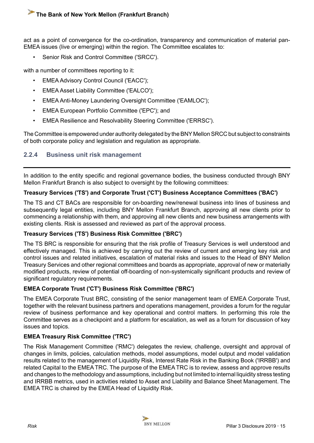<span id="page-14-0"></span>act as a point of convergence for the co-ordination, transparency and communication of material pan-EMEA issues (live or emerging) within the region. The Committee escalates to:

• Senior Risk and Control Committee ('SRCC').

with a number of committees reporting to it:

- EMEA Advisory Control Council ('EACC');
- EMEA Asset Liability Committee ('EALCO');
- EMEA Anti-Money Laundering Oversight Committee ('EAMLOC');
- EMEA European Portfolio Committee ('EPC'); and
- EMEA Resilience and Resolvability Steering Committee ('ERRSC').

The Committee is empowered under authority delegated by the BNY Mellon SRCC but subject to constraints of both corporate policy and legislation and regulation as appropriate.

#### **2.2.4 Business unit risk management**

In addition to the entity specific and regional governance bodies, the business conducted through BNY Mellon Frankfurt Branch is also subject to oversight by the following committees:

#### **Treasury Services ('TS') and Corporate Trust ('CT') Business Acceptance Committees ('BAC')**

The TS and CT BACs are responsible for on-boarding new/renewal business into lines of business and subsequently legal entities, including BNY Mellon Frankfurt Branch, approving all new clients prior to commencing a relationship with them, and approving all new clients and new business arrangements with existing clients. Risk is assessed and reviewed as part of the approval process.

#### **Treasury Services ('TS') Business Risk Committee ('BRC')**

The TS BRC is responsible for ensuring that the risk profile of Treasury Services is well understood and effectively managed. This is achieved by carrying out the review of current and emerging key risk and control issues and related initiatives, escalation of material risks and issues to the Head of BNY Mellon Treasury Services and other regional committees and boards as appropriate, approval of new or materially modified products, review of potential off-boarding of non-systemically significant products and review of significant regulatory requirements.

#### **EMEA Corporate Trust ('CT') Business Risk Committee ('BRC')**

The EMEA Corporate Trust BRC, consisting of the senior management team of EMEA Corporate Trust, together with the relevant business partners and operations management, provides a forum for the regular review of business performance and key operational and control matters. In performing this role the Committee serves as a checkpoint and a platform for escalation, as well as a forum for discussion of key issues and topics.

#### **EMEA Treasury Risk Committee ('TRC')**

The Risk Management Committee ('RMC') delegates the review, challenge, oversight and approval of changes in limits, policies, calculation methods, model assumptions, model output and model validation results related to the management of Liquidity Risk, Interest Rate Risk in the Banking Book ('IRRBB') and related Capital to the EMEA TRC. The purpose of the EMEA TRC is to review, assess and approve results and changes to the methodology and assumptions, including but not limited to internal liquidity stress testing and IRRBB metrics, used in activities related to Asset and Liability and Balance Sheet Management. The EMEA TRC is chaired by the EMEA Head of Liquidity Risk.

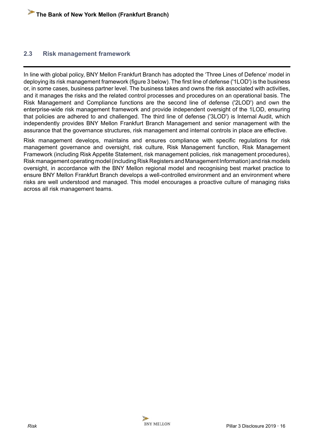#### <span id="page-15-0"></span>**2.3 Risk management framework**

In line with global policy, BNY Mellon Frankfurt Branch has adopted the 'Three Lines of Defence' model in deploying its risk management framework (figure 3 below). The first line of defense ('1LOD') is the business or, in some cases, business partner level. The business takes and owns the risk associated with activities, and it manages the risks and the related control processes and procedures on an operational basis. The Risk Management and Compliance functions are the second line of defense ('2LOD') and own the enterprise-wide risk management framework and provide independent oversight of the 1LOD, ensuring that policies are adhered to and challenged. The third line of defense ('3LOD') is Internal Audit, which independently provides BNY Mellon Frankfurt Branch Management and senior management with the assurance that the governance structures, risk management and internal controls in place are effective.

Risk management develops, maintains and ensures compliance with specific regulations for risk management governance and oversight, risk culture, Risk Management function, Risk Management Framework (including Risk Appetite Statement, risk management policies, risk management procedures), Risk management operating model (including Risk Registers and Management Information) and risk models oversight, in accordance with the BNY Mellon regional model and recognising best market practice to ensure BNY Mellon Frankfurt Branch develops a well-controlled environment and an environment where risks are well understood and managed. This model encourages a proactive culture of managing risks across all risk management teams.

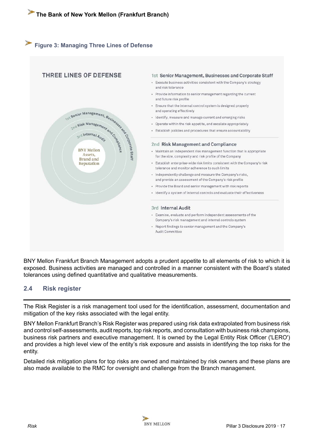## <span id="page-16-0"></span>**Figure 3: Managing Three Lines of Defense**



BNY Mellon Frankfurt Branch Management adopts a prudent appetite to all elements of risk to which it is exposed. Business activities are managed and controlled in a manner consistent with the Board's stated tolerances using defined quantitative and qualitative measurements.

#### **2.4 Risk register**

The Risk Register is a risk management tool used for the identification, assessment, documentation and mitigation of the key risks associated with the legal entity.

BNY Mellon Frankfurt Branch's Risk Register was prepared using risk data extrapolated from business risk and control self-assessments, audit reports, top risk reports, and consultation with business risk champions, business risk partners and executive management. It is owned by the Legal Entity Risk Officer ('LERO') and provides a high level view of the entity's risk exposure and assists in identifying the top risks for the entity.

Detailed risk mitigation plans for top risks are owned and maintained by risk owners and these plans are also made available to the RMC for oversight and challenge from the Branch management.

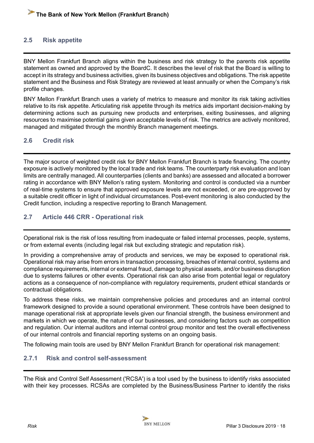#### <span id="page-17-0"></span>**2.5 Risk appetite**

BNY Mellon Frankfurt Branch aligns within the business and risk strategy to the parents risk appetite statement as owned and approved by the BoardC. It describes the level of risk that the Board is willing to accept in its strategy and business activities, given its business objectives and obligations. The risk appetite statement and the Business and Risk Strategy are reviewed at least annually or when the Company's risk profile changes.

BNY Mellon Frankfurt Branch uses a variety of metrics to measure and monitor its risk taking activities relative to its risk appetite. Articulating risk appetite through its metrics aids important decision-making by determining actions such as pursuing new products and enterprises, exiting businesses, and aligning resources to maximise potential gains given acceptable levels of risk. The metrics are actively monitored, managed and mitigated through the monthly Branch management meetings.

#### **2.6 Credit risk**

The major source of weighted credit risk for BNY Mellon Frankfurt Branch is trade financing. The country exposure is actively monitored by the local trade and risk teams. The counterparty risk evaluation and loan limits are centrally managed. All counterparties (clients and banks) are assessed and allocated a borrower rating in accordance with BNY Mellon's rating system. Monitoring and control is conducted via a number of real-time systems to ensure that approved exposure levels are not exceeded, or are pre-approved by a suitable credit officer in light of individual circumstances. Post-event monitoring is also conducted by the Credit function, including a respective reporting to Branch Management.

#### **2.7 Article 446 CRR - Operational risk**

Operational risk is the risk of loss resulting from inadequate or failed internal processes, people, systems, or from external events (including legal risk but excluding strategic and reputation risk).

In providing a comprehensive array of products and services, we may be exposed to operational risk. Operational risk may arise from errors in transaction processing, breaches of internal control, systems and compliance requirements, internal or external fraud, damage to physical assets, and/or business disruption due to systems failures or other events. Operational risk can also arise from potential legal or regulatory actions as a consequence of non-compliance with regulatory requirements, prudent ethical standards or contractual obligations.

To address these risks, we maintain comprehensive policies and procedures and an internal control framework designed to provide a sound operational environment. These controls have been designed to manage operational risk at appropriate levels given our financial strength, the business environment and markets in which we operate, the nature of our businesses, and considering factors such as competition and regulation. Our internal auditors and internal control group monitor and test the overall effectiveness of our internal controls and financial reporting systems on an ongoing basis.

The following main tools are used by BNY Mellon Frankfurt Branch for operational risk management:

#### **2.7.1 Risk and control self-assessment**

The Risk and Control Self Assessment ('RCSA') is a tool used by the business to identify risks associated with their key processes. RCSAs are completed by the Business/Business Partner to identify the risks

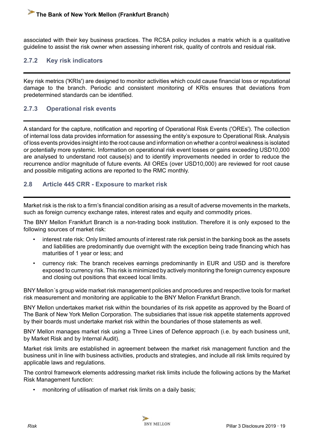<span id="page-18-0"></span>associated with their key business practices. The RCSA policy includes a matrix which is a qualitative guideline to assist the risk owner when assessing inherent risk, quality of controls and residual risk.

#### **2.7.2 Key risk indicators**

Key risk metrics ('KRIs') are designed to monitor activities which could cause financial loss or reputational damage to the branch. Periodic and consistent monitoring of KRIs ensures that deviations from predetermined standards can be identified.

#### **2.7.3 Operational risk events**

A standard for the capture, notification and reporting of Operational Risk Events ('OREs'). The collection of internal loss data provides information for assessing the entity's exposure to Operational Risk. Analysis of loss events provides insight into the root cause and information on whether a control weakness is isolated or potentially more systemic. Information on operational risk event losses or gains exceeding USD10,000 are analysed to understand root cause(s) and to identify improvements needed in order to reduce the recurrence and/or magnitude of future events. All OREs (over USD10,000) are reviewed for root cause and possible mitigating actions are reported to the RMC monthly.

#### **2.8 Article 445 CRR - Exposure to market risk**

Market risk is the risk to a firm's financial condition arising as a result of adverse movements in the markets, such as foreign currency exchange rates, interest rates and equity and commodity prices.

The BNY Mellon Frankfurt Branch is a non-trading book institution. Therefore it is only exposed to the following sources of market risk:

- interest rate risk: Only limited amounts of interest rate risk persist in the banking book as the assets and liabilities are predominantly due overnight with the exception being trade financing which has maturities of 1 year or less; and
- currency risk: The branch receives earnings predominantly in EUR and USD and is therefore exposed to currency risk. This risk is minimized by actively monitoring the foreign currency exposure and closing out positions that exceed local limits.

BNY Mellon´s group wide market risk management policies and procedures and respective tools for market risk measurement and monitoring are applicable to the BNY Mellon Frankfurt Branch.

BNY Mellon undertakes market risk within the boundaries of its risk appetite as approved by the Board of The Bank of New York Mellon Corporation. The subsidiaries that issue risk appetite statements approved by their boards must undertake market risk within the boundaries of those statements as well.

BNY Mellon manages market risk using a Three Lines of Defence approach (i.e. by each business unit, by Market Risk and by Internal Audit).

Market risk limits are established in agreement between the market risk management function and the business unit in line with business activities, products and strategies, and include all risk limits required by applicable laws and regulations.

The control framework elements addressing market risk limits include the following actions by the Market Risk Management function:

monitoring of utilisation of market risk limits on a daily basis;

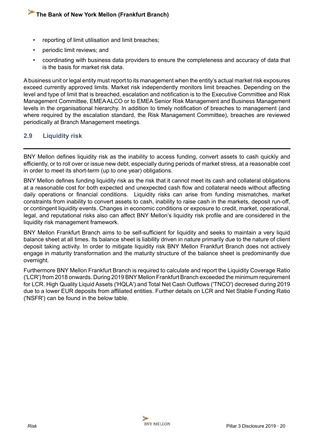- <span id="page-19-0"></span>reporting of limit utilisation and limit breaches;
- periodic limit reviews; and
- coordinating with business data providers to ensure the completeness and accuracy of data that is the basis for market risk data.

A business unit or legal entity must report to its management when the entity's actual market risk exposures exceed currently approved limits. Market risk independently monitors limit breaches. Depending on the level and type of limit that is breached, escalation and notification is to the Executive Committee and Risk Management Committee, EMEA ALCO or to EMEA Senior Risk Management and Business Management levels in the organisational hierarchy. In addition to timely notification of breaches to management (and where required by the escalation standard, the Risk Management Committee), breaches are reviewed periodically at Branch Management meetings.

#### **2.9 Liquidity risk**

BNY Mellon defines liquidity risk as the inability to access funding, convert assets to cash quickly and efficiently, or to roll over or issue new debt, especially during periods of market stress, at a reasonable cost in order to meet its short-term (up to one year) obligations.

BNY Mellon defines funding liquidity risk as the risk that it cannot meet its cash and collateral obligations at a reasonable cost for both expected and unexpected cash flow and collateral needs without affecting daily operations or financial conditions. Liquidity risks can arise from funding mismatches, market constraints from inability to convert assets to cash, inability to raise cash in the markets, deposit run-off, or contingent liquidity events. Changes in economic conditions or exposure to credit, market, operational, legal, and reputational risks also can affect BNY Mellon's liquidity risk profile and are considered in the liquidity risk management framework.

BNY Mellon Frankfurt Branch aims to be self-sufficient for liquidity and seeks to maintain a very liquid balance sheet at all times. Its balance sheet is liability driven in nature primarily due to the nature of client deposit taking activity. In order to mitigate liquidity risk BNY Mellon Frankfurt Branch does not actively engage in maturity transformation and the maturity structure of the balance sheet is predominantly due overnight.

Furthermore BNY Mellon Frankfurt Branch is required to calculate and report the Liquidity Coverage Ratio ('LCR') from 2018 onwards. During 2019 BNY Mellon Frankfurt Branch exceeded the minimum requirement for LCR. High Quality Liquid Assets ('HQLA') and Total Net Cash Outflows ('TNCO') decresed during 2019 due to a lower EUR deposits from affiliated entities. Further details on LCR and Net Stable Funding Ratio ('NSFR') can be found in the below table.

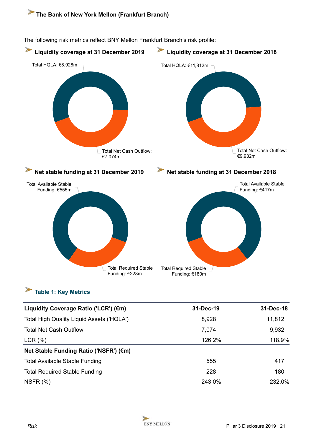

<span id="page-20-0"></span>The following risk metrics reflect BNY Mellon Frankfurt Branch's risk profile:

## **Table 1: Key Metrics**

| Liquidity Coverage Ratio ('LCR') (€m)            | 31-Dec-19 | 31-Dec-18 |
|--------------------------------------------------|-----------|-----------|
| <b>Total High Quality Liquid Assets ('HQLA')</b> | 8,928     | 11,812    |
| <b>Total Net Cash Outflow</b>                    | 7,074     | 9,932     |
| LCR(%)                                           | 126.2%    | 118.9%    |
| Net Stable Funding Ratio ('NSFR') (€m)           |           |           |
| <b>Total Available Stable Funding</b>            | 555       | 417       |
| <b>Total Required Stable Funding</b>             | 228       | 180       |
| NSFR $(%)$                                       | 243.0%    | 232.0%    |

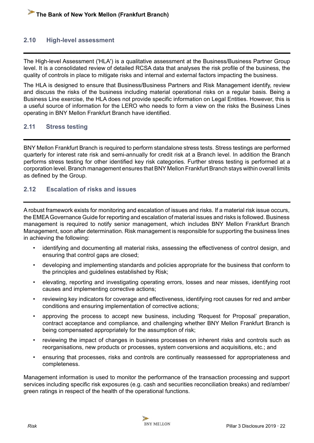#### <span id="page-21-0"></span>**2.10 High-level assessment**

The High-level Assessment ('HLA') is a qualitative assessment at the Business/Business Partner Group level. It is a consolidated review of detailed RCSA data that analyses the risk profile of the business, the quality of controls in place to mitigate risks and internal and external factors impacting the business.

The HLA is designed to ensure that Business/Business Partners and Risk Management identify, review and discuss the risks of the business including material operational risks on a regular basis. Being a Business Line exercise, the HLA does not provide specific information on Legal Entities. However, this is a useful source of information for the LERO who needs to form a view on the risks the Business Lines operating in BNY Mellon Frankfurt Branch have identified.

#### **2.11 Stress testing**

BNY Mellon Frankfurt Branch is required to perform standalone stress tests. Stress testings are performed quarterly for interest rate risk and semi-annually for credit risk at a Branch level. In addition the Branch performs stress testing for other identified key risk categories. Further stress testing is performed at a corporation level. Branch management ensures that BNY Mellon Frankfurt Branch stays within overall limits as defined by the Group.

#### **2.12 Escalation of risks and issues**

A robust framework exists for monitoring and escalation of issues and risks. If a material risk issue occurs, the EMEA Governance Guide for reporting and escalation of material issues and risks is followed. Business management is required to notify senior management, which includes BNY Mellon Frankfurt Branch Management, soon after determination. Risk management is responsible for supporting the business lines in achieving the following:

- identifying and documenting all material risks, assessing the effectiveness of control design, and ensuring that control gaps are closed;
- developing and implementing standards and policies appropriate for the business that conform to the principles and guidelines established by Risk;
- elevating, reporting and investigating operating errors, losses and near misses, identifying root causes and implementing corrective actions;
- reviewing key indicators for coverage and effectiveness, identifying root causes for red and amber conditions and ensuring implementation of corrective actions;
- approving the process to accept new business, including 'Request for Proposal' preparation, contract acceptance and compliance, and challenging whether BNY Mellon Frankfurt Branch is being compensated appropriately for the assumption of risk;
- reviewing the impact of changes in business processes on inherent risks and controls such as reorganisations, new products or processes, system conversions and acquisitions, etc.; and
- ensuring that processes, risks and controls are continually reassessed for appropriateness and completeness.

Management information is used to monitor the performance of the transaction processing and support services including specific risk exposures (e.g. cash and securities reconciliation breaks) and red/amber/ green ratings in respect of the health of the operational functions.

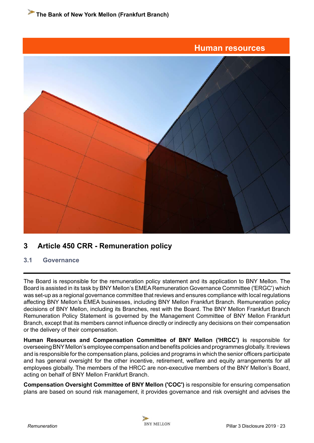<span id="page-22-0"></span>

### **3 Article 450 CRR - Remuneration policy**

#### **3.1 Governance**

The Board is responsible for the remuneration policy statement and its application to BNY Mellon. The Board is assisted in its task by BNY Mellon's EMEA Remuneration Governance Committee ('ERGC') which was set-up as a regional governance committee that reviews and ensures compliance with local regulations affecting BNY Mellon's EMEA businesses, including BNY Mellon Frankfurt Branch. Remuneration policy decisions of BNY Mellon, including its Branches, rest with the Board. The BNY Mellon Frankfurt Branch Remuneration Policy Statement is governed by the Management Committee of BNY Mellon Frankfurt Branch, except that its members cannot influence directly or indirectly any decisions on their compensation or the delivery of their compensation.

**Human Resources and Compensation Committee of BNY Mellon ('HRCC') i**s responsible for overseeing BNY Mellon's employee compensation and benefits policies and programmes globally. It reviews and is responsible for the compensation plans, policies and programs in which the senior officers participate and has general oversight for the other incentive, retirement, welfare and equity arrangements for all employees globally. The members of the HRCC are non-executive members of the BNY Mellon's Board, acting on behalf of BNY Mellon Frankfurt Branch.

**Compensation Oversight Committee of BNY Mellon ('COC')** is responsible for ensuring compensation plans are based on sound risk management, it provides governance and risk oversight and advises the

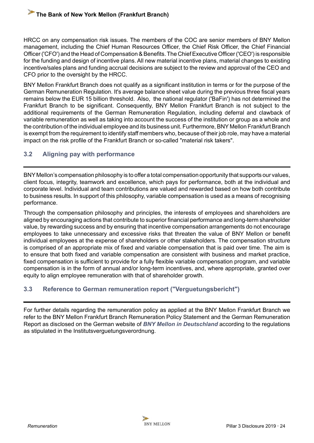<span id="page-23-0"></span>HRCC on any compensation risk issues. The members of the COC are senior members of BNY Mellon management, including the Chief Human Resources Officer, the Chief Risk Officer, the Chief Financial Officer ('CFO') and the Head of Compensation & Benefits. The Chief Executive Officer ('CEO') is responsible for the funding and design of incentive plans. All new material incentive plans, material changes to existing incentive/sales plans and funding accrual decisions are subject to the review and approval of the CEO and CFO prior to the oversight by the HRCC.

BNY Mellon Frankfurt Branch does not qualify as a significant institution in terms or for the purpose of the German Remuneration Regulation. It's average balance sheet value during the previous three fiscal years remains below the EUR 15 billion threshold. Also, the national regulator ('BaFin') has not determined the Frankfurt Branch to be significant. Consequently, BNY Mellon Frankfurt Branch is not subject to the additional requirements of the German Remuneration Regulation, including deferral and clawback of variable remuneration as well as taking into account the success of the institution or group as a whole and the contribution of the individual employee and its business unit. Furthermore, BNY Mellon Frankfurt Branch is exempt from the requirement to identify staff members who, because of their job role, may have a material impact on the risk profile of the Frankfurt Branch or so-called "material risk takers".

#### **3.2 Aligning pay with performance**

BNY Mellon's compensation philosophy is to offer a total compensation opportunity that supports our values, client focus, integrity, teamwork and excellence, which pays for performance, both at the individual and corporate level. Individual and team contributions are valued and rewarded based on how both contribute to business results. In support of this philosophy, variable compensation is used as a means of recognising performance.

Through the compensation philosophy and principles, the interests of employees and shareholders are aligned by encouraging actions that contribute to superior financial performance and long-term shareholder value, by rewarding success and by ensuring that incentive compensation arrangements do not encourage employees to take unnecessary and excessive risks that threaten the value of BNY Mellon or benefit individual employees at the expense of shareholders or other stakeholders. The compensation structure is comprised of an appropriate mix of fixed and variable compensation that is paid over time. The aim is to ensure that both fixed and variable compensation are consistent with business and market practice, fixed compensation is sufficient to provide for a fully flexible variable compensation program, and variable compensation is in the form of annual and/or long-term incentives, and, where appropriate, granted over equity to align employee remuneration with that of shareholder growth.

#### **3.3 Reference to German remuneration report ("Verguetungsbericht")**

For further details regarding the remuneration policy as applied at the BNY Mellon Frankfurt Branch we refer to the BNY Mellon Frankfurt Branch Remuneration Policy Statement and the German Remuneration Report as disclosed on the German website of *[BNY Mellon in Deutschland](https://www.bnymellon.com/de/de/publikationen.jsp)* according to the regulations as stipulated in the Institutsverguetungsverordnung.

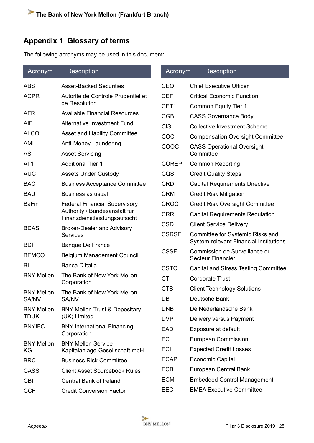## <span id="page-24-0"></span>**Appendix 1 Glossary of terms**

The following acronyms may be used in this document:

| Acronym           | <b>Description</b>                                                                                     | Acronym          | <b>Description</b>                                                         |  |  |
|-------------------|--------------------------------------------------------------------------------------------------------|------------------|----------------------------------------------------------------------------|--|--|
| <b>ABS</b>        | <b>Asset-Backed Securities</b>                                                                         | <b>CEO</b>       | <b>Chief Executive Officer</b>                                             |  |  |
| <b>ACPR</b>       | Autorite de Controle Prudentiel et                                                                     | <b>CEF</b>       | <b>Critical Economic Function</b>                                          |  |  |
|                   | de Resolution                                                                                          | CET <sub>1</sub> | <b>Common Equity Tier 1</b>                                                |  |  |
| <b>AFR</b>        | <b>Available Financial Resources</b>                                                                   | <b>CGB</b>       | <b>CASS Governance Body</b>                                                |  |  |
| <b>AIF</b>        | <b>Alternative Investment Fund</b>                                                                     | <b>CIS</b>       | <b>Collective Investment Scheme</b>                                        |  |  |
| <b>ALCO</b>       | <b>Asset and Liability Committee</b>                                                                   | COC              | <b>Compensation Oversight Committee</b>                                    |  |  |
| <b>AML</b>        | Anti-Money Laundering                                                                                  |                  | <b>CASS Operational Oversight</b>                                          |  |  |
| AS                | <b>Asset Servicing</b>                                                                                 |                  | Committee                                                                  |  |  |
| AT <sub>1</sub>   | <b>Additional Tier 1</b>                                                                               | <b>COREP</b>     | <b>Common Reporting</b>                                                    |  |  |
| <b>AUC</b>        | <b>Assets Under Custody</b>                                                                            | CQS              | <b>Credit Quality Steps</b>                                                |  |  |
| <b>BAC</b>        | <b>Business Acceptance Committee</b>                                                                   | <b>CRD</b>       | <b>Capital Requirements Directive</b>                                      |  |  |
| <b>BAU</b>        | Business as usual                                                                                      | <b>CRM</b>       | <b>Credit Risk Mitigation</b>                                              |  |  |
| <b>BaFin</b>      | <b>Federal Financial Supervisory</b><br>Authority / Bundesanstalt fur<br>Finanzdienstleistungsaufsicht | <b>CROC</b>      | <b>Credit Risk Oversight Committee</b>                                     |  |  |
|                   |                                                                                                        | <b>CRR</b>       | <b>Capital Requirements Regulation</b>                                     |  |  |
| <b>BDAS</b>       | <b>Broker-Dealer and Advisory</b>                                                                      | <b>CSD</b>       | <b>Client Service Delivery</b>                                             |  |  |
|                   | <b>Services</b>                                                                                        | <b>CSRSFI</b>    | Committee for Systemic Risks and<br>System-relevant Financial Institutions |  |  |
| <b>BDF</b>        | <b>Banque De France</b>                                                                                | <b>CSSF</b>      | Commission de Surveillance du                                              |  |  |
| <b>BEMCO</b>      | <b>Belgium Management Council</b>                                                                      |                  | <b>Secteur Financier</b>                                                   |  |  |
| BI                | Banca D'Italia                                                                                         | <b>CSTC</b>      | Capital and Stress Testing Committee                                       |  |  |
| <b>BNY Mellon</b> | The Bank of New York Mellon<br>Corporation                                                             | <b>CT</b>        | <b>Corporate Trust</b>                                                     |  |  |
| <b>BNY Mellon</b> | The Bank of New York Mellon                                                                            | <b>CTS</b>       | <b>Client Technology Solutions</b>                                         |  |  |
| SA/NV             | SA/NV                                                                                                  | DB               | Deutsche Bank                                                              |  |  |
| <b>BNY Mellon</b> | <b>BNY Mellon Trust &amp; Depositary</b><br>(UK) Limited                                               | <b>DNB</b>       | De Nederlandsche Bank                                                      |  |  |
| <b>TDUKL</b>      |                                                                                                        | <b>DVP</b>       | Delivery versus Payment                                                    |  |  |
| <b>BNYIFC</b>     | <b>BNY International Financing</b><br>Corporation                                                      | <b>EAD</b>       | Exposure at default                                                        |  |  |
| <b>BNY Mellon</b> | <b>BNY Mellon Service</b>                                                                              | EC               | <b>European Commission</b>                                                 |  |  |
| KG                | Kapitalanlage-Gesellschaft mbH                                                                         | ECL              | <b>Expected Credit Losses</b>                                              |  |  |
| <b>BRC</b>        | <b>Business Risk Committee</b>                                                                         | <b>ECAP</b>      | <b>Economic Capital</b>                                                    |  |  |
| <b>CASS</b>       | <b>Client Asset Sourcebook Rules</b>                                                                   | <b>ECB</b>       | European Central Bank                                                      |  |  |
| <b>CBI</b>        | <b>Central Bank of Ireland</b>                                                                         | <b>ECM</b>       | <b>Embedded Control Management</b>                                         |  |  |
| <b>CCF</b>        | <b>Credit Conversion Factor</b>                                                                        | <b>EEC</b>       | <b>EMEA Executive Committee</b>                                            |  |  |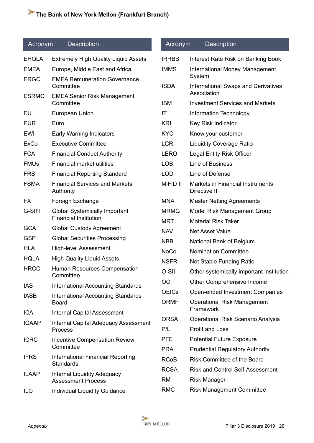#### Acronym Description

| <b>EHQLA</b> | <b>Extremely High Quality Liquid Assets</b>                          |
|--------------|----------------------------------------------------------------------|
| <b>EMEA</b>  | Europe, Middle East and Africa                                       |
| <b>ERGC</b>  | <b>EMEA Remuneration Governance</b><br>Committee                     |
| <b>ESRMC</b> | <b>EMEA Senior Risk Management</b><br>Committee                      |
| EU           | European Union                                                       |
| <b>EUR</b>   | Euro                                                                 |
| EWI          | <b>Early Warning Indicators</b>                                      |
| <b>ExCo</b>  | <b>Executive Committee</b>                                           |
| <b>FCA</b>   | <b>Financial Conduct Authority</b>                                   |
| <b>FMUs</b>  | <b>Financial market utilities</b>                                    |
| <b>FRS</b>   | <b>Financial Reporting Standard</b>                                  |
| <b>FSMA</b>  | <b>Financial Services and Markets</b><br>Authority                   |
| <b>FX</b>    | Foreign Exchange                                                     |
| G-SIFI       | <b>Global Systemically Important</b><br><b>Financial Institution</b> |
| <b>GCA</b>   | <b>Global Custody Agreement</b>                                      |
| <b>GSP</b>   | <b>Global Securities Processing</b>                                  |
| HLA          | <b>High-level Assessment</b>                                         |
| <b>HQLA</b>  | <b>High Quality Liquid Assets</b>                                    |
| <b>HRCC</b>  | <b>Human Resources Compensation</b><br>Committee                     |
| IAS          | <b>International Accounting Standards</b>                            |
| IASB         | <b>International Accounting Standards</b><br>Board                   |
| <b>ICA</b>   | <b>Internal Capital Assessment</b>                                   |
| <b>ICAAP</b> | <b>Internal Capital Adequacy Assessment</b><br>Process               |
| <b>ICRC</b>  | <b>Incentive Compensation Review</b><br>Committee                    |
| <b>IFRS</b>  | <b>International Financial Reporting</b><br>Standards                |
| ILAAP        | Internal Liquidity Adequacy<br><b>Assessment Process</b>             |
| ILG          | <b>Individual Liquidity Guidance</b>                                 |

## Acronym Description IRRBB Interest Rate Risk on Banking Book IMMS International Money Management System ISDA International Swaps and Derivatives Association ISM Investment Services and Markets IT Information Technology KRI Key Risk Indicator KYC Know your customer LCR Liquidity Coverage Ratio LERO Legal Entity Risk Officer LOB Line of Business LOD Line of Defense MiFID II Markets in Financial Instruments Directive II MNA Master Netting Agreements MRMG Model Risk Management Group MRT Material Risk Taker NAV Net Asset Value NBB National Bank of Belgium NoCo Nomination Committee NSFR Net Stable Funding Ratio O-SII Other systemically important institution OCI Other Comprehensive Income OEICs Open-ended Investment Companies ORMF Operational Risk Management Framework ORSA Operational Risk Scenario Analysis P/L Profit and Loss PFE Potential Future Exposure PRA Prudential Regulatory Authority RCoB Risk Committee of the Board RCSA Risk and Control Self-Assessment RM Risk Manager RMC Risk Management Committee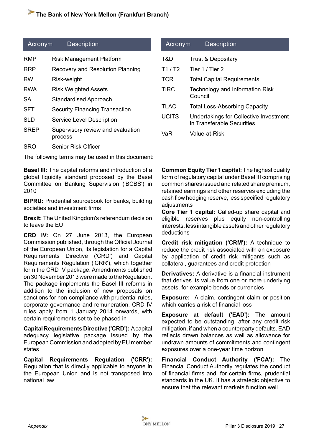| Acronym     | <b>Description</b>                           |
|-------------|----------------------------------------------|
| RMP         | <b>Risk Management Platform</b>              |
| RRP         | <b>Recovery and Resolution Planning</b>      |
| RW          | Risk-weight                                  |
| RWA         | <b>Risk Weighted Assets</b>                  |
| SA          | <b>Standardised Approach</b>                 |
| <b>SFT</b>  | <b>Security Financing Transaction</b>        |
| SI D        | Service Level Description                    |
| <b>SREP</b> | Supervisory review and evaluation<br>process |
| SRO         | Senior Risk Officer                          |

The following terms may be used in this document:

**Basel III:** The capital reforms and introduction of a global liquidity standard proposed by the Basel Committee on Banking Supervision ('BCBS') in 2010

**BIPRU:** Prudential sourcebook for banks, building societies and investment firms

**Brexit:** The United Kingdom's referendum decision to leave the EU

**CRD IV:** On 27 June 2013, the European Commission published, through the Official Journal of the European Union, its legislation for a Capital Requirements Directive ('CRD') and Capital Requirements Regulation ('CRR'), which together form the CRD IV package. Amendments published on 30 November 2013 were made to the Regulation. The package implements the Basel III reforms in addition to the inclusion of new proposals on sanctions for non-compliance with prudential rules, corporate governance and remuneration. CRD IV rules apply from 1 January 2014 onwards, with certain requirements set to be phased in

**Capital Requirements Directive ('CRD'):** A capital adequacy legislative package issued by the European Commission and adopted by EU member states

**Capital Requirements Regulation ('CRR'):** Regulation that is directly applicable to anyone in the European Union and is not transposed into national law

| <b>Acronym</b> | <b>Description</b>                                                   |
|----------------|----------------------------------------------------------------------|
| T&D            | <b>Trust &amp; Depositary</b>                                        |
| T1/ T2         | Tier 1 / Tier 2                                                      |
| TCR            | <b>Total Capital Requirements</b>                                    |
| <b>TIRC</b>    | Technology and Information Risk<br>Council                           |
| <b>TLAC</b>    | <b>Total Loss-Absorbing Capacity</b>                                 |
| <b>UCITS</b>   | Undertakings for Collective Investment<br>in Transferable Securities |
| /aR            | Value-at-Risk                                                        |

**Common Equity Tier 1 capital:** The highest quality form of regulatory capital under Basel III comprising common shares issued and related share premium, retained earnings and other reserves excluding the cash flow hedging reserve, less specified regulatory adiustments

**Core Tier 1 capital:** Called-up share capital and eligible reserves plus equity non-controlling interests, less intangible assets and other regulatory deductions

**Credit risk mitigation ('CRM'):** A technique to reduce the credit risk associated with an exposure by application of credit risk mitigants such as collateral, guarantees and credit protection

**Derivatives:** A derivative is a financial instrument that derives its value from one or more underlying assets, for example bonds or currencies

**Exposure:** A claim, contingent claim or position which carries a risk of financial loss

**Exposure at default ('EAD'):** The amount expected to be outstanding, after any credit risk mitigation, if and when a counterparty defaults. EAD reflects drawn balances as well as allowance for undrawn amounts of commitments and contingent exposures over a one-year time horizon

**Financial Conduct Authority ('FCA'):** The Financial Conduct Authority regulates the conduct of financial firms and, for certain firms, prudential standards in the UK. It has a strategic objective to ensure that the relevant markets function well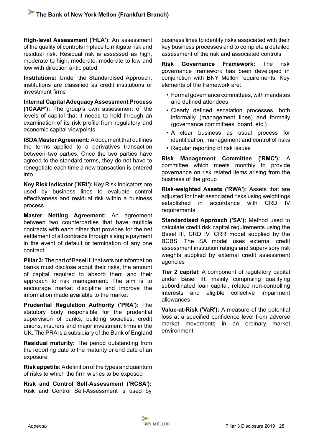**High-level Assessment ('HLA'):** An assessment of the quality of controls in place to mitigate risk and residual risk. Residual risk is assessed as high, moderate to high, moderate, moderate to low and low with direction anticipated

**Institutions:** Under the Standardised Approach, institutions are classified as credit institutions or investment firms

**Internal Capital Adequacy Assessment Process ('ICAAP'):** The group's own assessment of the levels of capital that it needs to hold through an examination of its risk profile from regulatory and economic capital viewpoints

**ISDA Master Agreement:** A document that outlines the terms applied to a derivatives transaction between two parties. Once the two parties have agreed to the standard terms, they do not have to renegotiate each time a new transaction is entered into

**Key Risk Indicator ('KRI'):** Key Risk Indicators are used by business lines to evaluate control effectiveness and residual risk within a business process

**Master Netting Agreement:** An agreement between two counterparties that have multiple contracts with each other that provides for the net settlement of all contracts through a single payment in the event of default or termination of any one contract

**Pillar 3:** The part of Basel III that sets out information banks must disclose about their risks, the amount of capital required to absorb them and their approach to risk management. The aim is to encourage market discipline and improve the information made available to the market

**Prudential Regulation Authority ('PRA'):** The statutory body responsible for the prudential supervision of banks, building societies, credit unions, insurers and major investment firms in the UK. The PRA is a subsidiary of the Bank of England

**Residual maturity:** The period outstanding from the reporting date to the maturity or end date of an exposure

**Risk appetite:** A definition of the types and quantum of risks to which the firm wishes to be exposed

**Risk and Control Self-Assessment ('RCSA'):** Risk and Control Self-Assessment is used by business lines to identify risks associated with their key business processes and to complete a detailed assessment of the risk and associated controls

**Risk Governance Framework:** The risk governance framework has been developed in conjunction with BNY Mellon requirements. Key elements of the framework are:

- Formal governance committees, with mandates and defined attendees
- Clearly defined escalation processes, both informally (management lines) and formally (governance committees, board, etc.)
- A clear business as usual process for identification, management and control of risks
- Regular reporting of risk issues

**Risk Management Committee ('RMC'):** A committee which meets monthly to provide governance on risk related items arising from the business of the group

**Risk-weighted Assets ('RWA'):** Assets that are adjusted for their associated risks using weightings established in accordance with CRD IV **requirements** 

**Standardised Approach ('SA'):** Method used to calculate credit risk capital requirements using the Basel III, CRD IV, CRR model supplied by the BCBS. The SA model uses external credit assessment institution ratings and supervisory risk weights supplied by external credit assessment agencies

**Tier 2 capital:** A component of regulatory capital under Basel III, mainly comprising qualifying subordinated loan capital, related non-controlling interests and eligible collective impairment allowances

**Value-at-Risk ('VaR'):** A measure of the potential loss at a specified confidence level from adverse market movements in an ordinary market environment